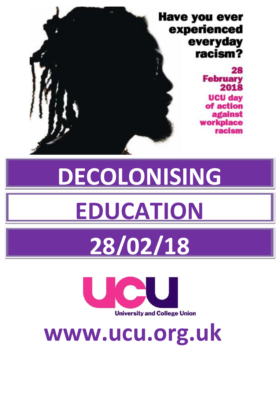## **Have you ever** experienced everyday racism? 28 **February** 2018 **UCU day** of action against **workplace** racism

# **DECOLONISING EDUCATION**

# **28/02/18**



**www.ucu.org.uk**